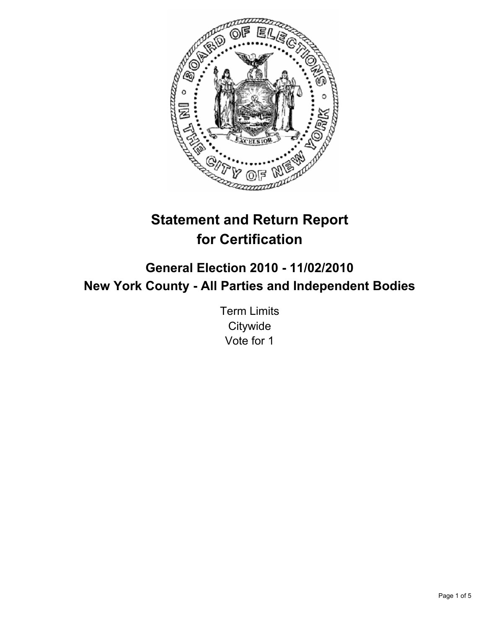

# **Statement and Return Report for Certification**

## **General Election 2010 - 11/02/2010 New York County - All Parties and Independent Bodies**

Term Limits **Citywide** Vote for 1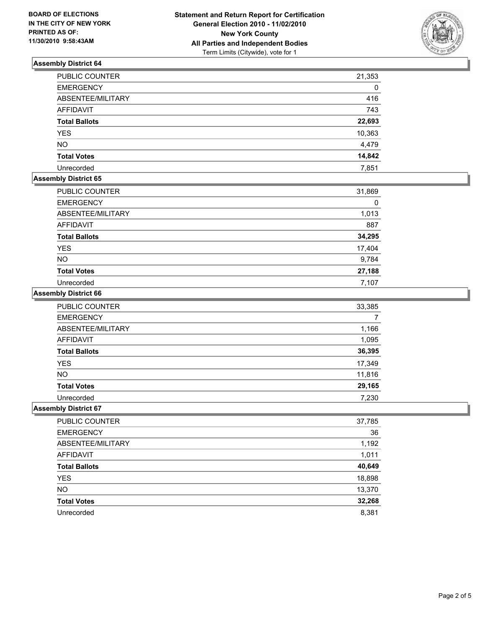

## **Assembly District 64**

| <b>PUBLIC COUNTER</b> | 21,353 |
|-----------------------|--------|
| <b>EMERGENCY</b>      | 0      |
| ABSENTEE/MILITARY     | 416    |
| <b>AFFIDAVIT</b>      | 743    |
| <b>Total Ballots</b>  | 22,693 |
| <b>YES</b>            | 10,363 |
| <b>NO</b>             | 4,479  |
| <b>Total Votes</b>    | 14,842 |
| Unrecorded            | 7,851  |

## **Assembly District 65**

| <b>PUBLIC COUNTER</b> | 31,869 |
|-----------------------|--------|
| <b>EMERGENCY</b>      | 0      |
| ABSENTEE/MILITARY     | 1,013  |
| <b>AFFIDAVIT</b>      | 887    |
| <b>Total Ballots</b>  | 34,295 |
| <b>YES</b>            | 17,404 |
| <b>NO</b>             | 9,784  |
| <b>Total Votes</b>    | 27,188 |
| Unrecorded            | 7.107  |

#### **Assembly District 66**

| <b>PUBLIC COUNTER</b> | 33,385 |
|-----------------------|--------|
| <b>EMERGENCY</b>      |        |
| ABSENTEE/MILITARY     | 1,166  |
| AFFIDAVIT             | 1,095  |
| <b>Total Ballots</b>  | 36,395 |
| <b>YES</b>            | 17,349 |
| <b>NO</b>             | 11,816 |
| <b>Total Votes</b>    | 29,165 |
| Unrecorded            | 7,230  |

#### **Assembly District 67**

| PUBLIC COUNTER       | 37,785 |
|----------------------|--------|
| <b>EMERGENCY</b>     | 36     |
| ABSENTEE/MILITARY    | 1,192  |
| AFFIDAVIT            | 1,011  |
| <b>Total Ballots</b> | 40,649 |
| <b>YES</b>           | 18,898 |
| <b>NO</b>            | 13,370 |
| <b>Total Votes</b>   | 32,268 |
| Unrecorded           | 8,381  |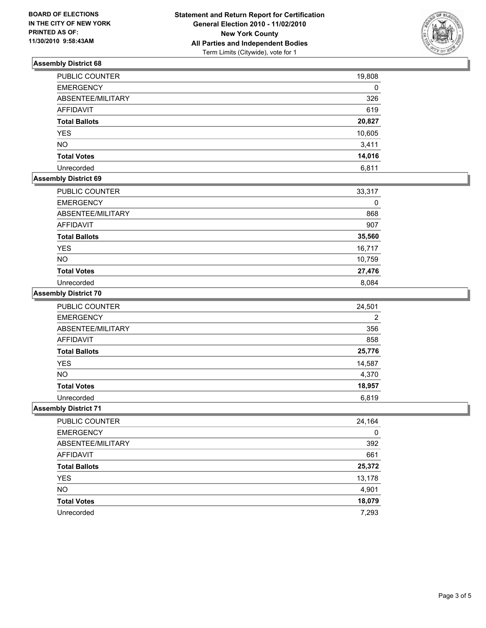

## **Assembly District 68**

| <b>PUBLIC COUNTER</b> | 19,808 |
|-----------------------|--------|
| <b>EMERGENCY</b>      | 0      |
| ABSENTEE/MILITARY     | 326    |
| <b>AFFIDAVIT</b>      | 619    |
| <b>Total Ballots</b>  | 20,827 |
| <b>YES</b>            | 10,605 |
| <b>NO</b>             | 3,411  |
| <b>Total Votes</b>    | 14,016 |
| Unrecorded            | 6,811  |

## **Assembly District 69**

| PUBLIC COUNTER       | 33,317 |
|----------------------|--------|
| <b>EMERGENCY</b>     | 0      |
| ABSENTEE/MILITARY    | 868    |
| <b>AFFIDAVIT</b>     | 907    |
| <b>Total Ballots</b> | 35,560 |
| <b>YES</b>           | 16,717 |
| <b>NO</b>            | 10,759 |
| <b>Total Votes</b>   | 27,476 |
| Unrecorded           | 8.084  |

#### **Assembly District 70**

| <b>PUBLIC COUNTER</b> | 24,501         |
|-----------------------|----------------|
| <b>EMERGENCY</b>      | $\overline{2}$ |
| ABSENTEE/MILITARY     | 356            |
| <b>AFFIDAVIT</b>      | 858            |
| <b>Total Ballots</b>  | 25,776         |
| <b>YES</b>            | 14,587         |
| <b>NO</b>             | 4,370          |
| <b>Total Votes</b>    | 18,957         |
| Unrecorded            | 6.819          |

#### **Assembly District 71**

| PUBLIC COUNTER       | 24,164 |
|----------------------|--------|
| <b>EMERGENCY</b>     | 0      |
| ABSENTEE/MILITARY    | 392    |
| AFFIDAVIT            | 661    |
| <b>Total Ballots</b> | 25,372 |
| <b>YES</b>           | 13,178 |
| <b>NO</b>            | 4,901  |
| <b>Total Votes</b>   | 18,079 |
| Unrecorded           | 7,293  |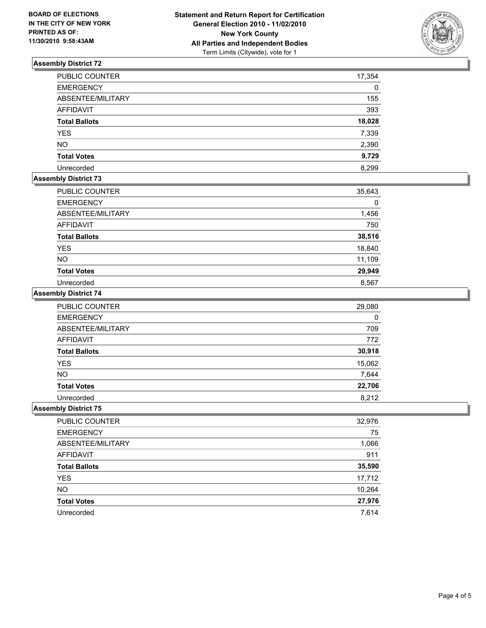

## **Assembly District 72**

| PUBLIC COUNTER       | 17,354 |
|----------------------|--------|
| <b>EMERGENCY</b>     | 0      |
| ABSENTEE/MILITARY    | 155    |
| <b>AFFIDAVIT</b>     | 393    |
| <b>Total Ballots</b> | 18,028 |
| <b>YES</b>           | 7,339  |
| <b>NO</b>            | 2,390  |
| <b>Total Votes</b>   | 9,729  |
| Unrecorded           | 8.299  |

## **Assembly District 73**

| PUBLIC COUNTER       | 35,643 |
|----------------------|--------|
| <b>EMERGENCY</b>     | 0      |
| ABSENTEE/MILITARY    | 1,456  |
| AFFIDAVIT            | 750    |
| <b>Total Ballots</b> | 38,516 |
| <b>YES</b>           | 18,840 |
| <b>NO</b>            | 11,109 |
| <b>Total Votes</b>   | 29,949 |
| Unrecorded           | 8,567  |

#### **Assembly District 74**

| PUBLIC COUNTER       | 29,080      |
|----------------------|-------------|
| <b>EMERGENCY</b>     | $\mathbf 0$ |
| ABSENTEE/MILITARY    | 709         |
| <b>AFFIDAVIT</b>     | 772         |
| <b>Total Ballots</b> | 30,918      |
| <b>YES</b>           | 15,062      |
| <b>NO</b>            | 7,644       |
| <b>Total Votes</b>   | 22,706      |
| Unrecorded           | 8.212       |

#### **Assembly District 75**

| PUBLIC COUNTER       | 32,976 |
|----------------------|--------|
| <b>EMERGENCY</b>     | 75     |
| ABSENTEE/MILITARY    | 1,066  |
| AFFIDAVIT            | 911    |
| <b>Total Ballots</b> | 35,590 |
| YES                  | 17,712 |
| <b>NO</b>            | 10,264 |
| <b>Total Votes</b>   | 27,976 |
| Unrecorded           | 7,614  |